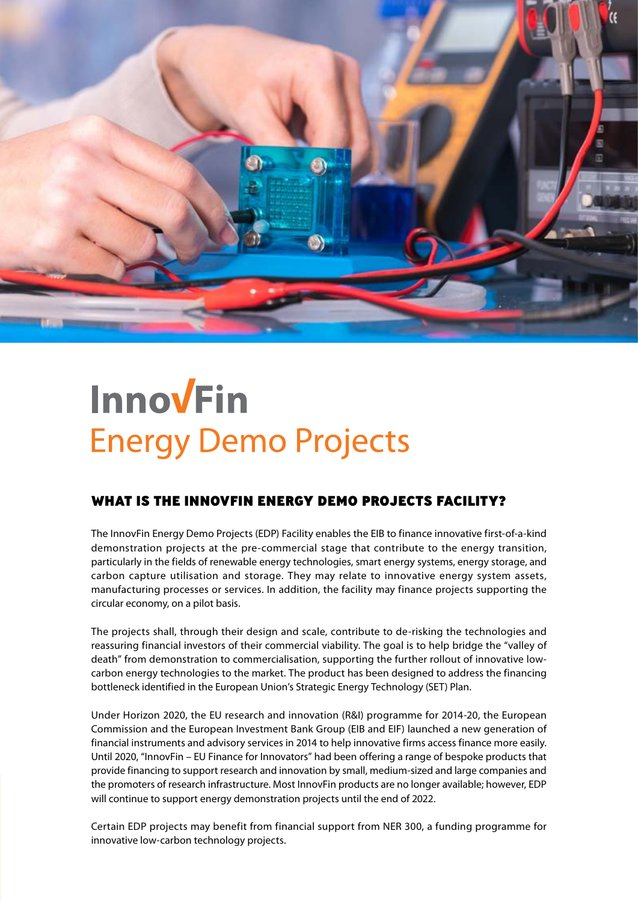

# **Innovein Energy Demo Projects**

## WHAT IS THE INNOVFIN ENERGY DEMO PROJECTS FACILITY?

The InnovFin Energy Demo Projects (EDP) Facility enables the EIB to finance innovative first-of-a-kind demonstration projects at the pre-commercial stage that contribute to the energy transition, particularly in the fields of renewable energy technologies, smart energy systems, energy storage, and carbon capture utilisation and storage. They may relate to innovative energy system assets, manufacturing processes or services. In addition, the facility may finance projects supporting the circular economy, on a pilot basis.

The projects shall, through their design and scale, contribute to de-risking the technologies and reassuring financial investors of their commercial viability. The goal is to help bridge the "valley of death" from demonstration to commercialisation, supporting the further rollout of innovative lowcarbon energy technologies to the market. The product has been designed to address the financing bottleneck identified in the European Union's Strategic Energy Technology (SET) Plan.

Under Horizon 2020, the EU research and innovation (R&I) programme for 2014-20, the European Commission and the European Investment Bank Group (EIB and EIF) launched a new generation of financial instruments and advisory services in 2014 to help innovative firms access finance more easily. Until 2020, "InnovFin – EU Finance for Innovators" had been offering a range of bespoke products that provide financing to support research and innovation by small, medium-sized and large companies and the promoters of research infrastructure. Most InnovFin products are no longer available; however, EDP will continue to support energy demonstration projects until the end of 2022.

Certain EDP projects may benefit from financial support from NER 300, a funding programme for innovative low-carbon technology projects.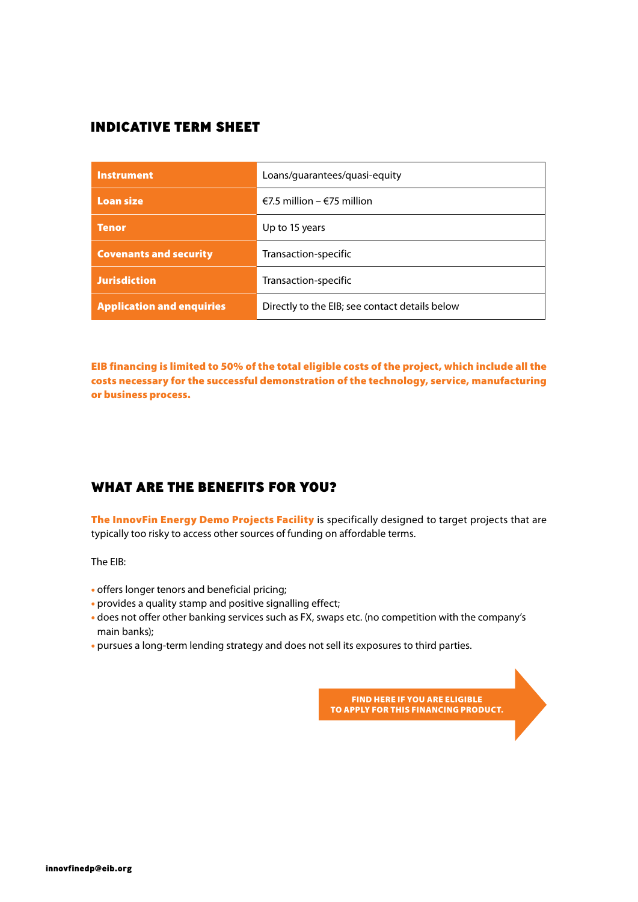## INDICATIVE TERM SHEET

| <b>Instrument</b>                | Loans/guarantees/guasi-equity                  |
|----------------------------------|------------------------------------------------|
| <b>Loan size</b>                 | €7.5 million – €75 million                     |
| <b>Tenor</b>                     | Up to 15 years                                 |
| <b>Covenants and security</b>    | Transaction-specific                           |
| <b>Jurisdiction</b>              | Transaction-specific                           |
| <b>Application and enquiries</b> | Directly to the EIB; see contact details below |

EIB financing is limited to 50% of the total eligible costs of the project, which include all the costs necessary for the successful demonstration of the technology, service, manufacturing or business process.

## WHAT ARE THE BENEFITS FOR YOU?

The InnovFin Energy Demo Projects Facility is specifically designed to target projects that are typically too risky to access other sources of funding on affordable terms.

The EIB:

- offers longer tenors and beneficial pricing;
- provides a quality stamp and positive signalling effect;
- does not offer other banking services such as FX, swaps etc. (no competition with the company's main banks);
- pursues a long-term lending strategy and does not sell its exposures to third parties.

FIND HERE IF YOU ARE ELIGIBLE TO APPLY FOR THIS FINANCING PRODUCT.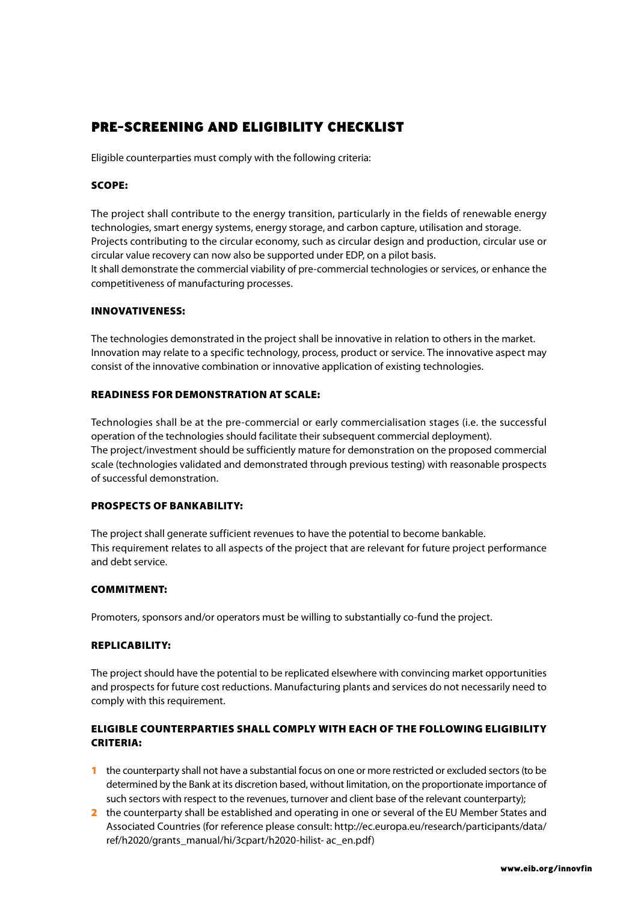# PRE-SCREENING AND ELIGIBILITY CHECKLIST

Eligible counterparties must comply with the following criteria:

### SCOPE:

The project shall contribute to the energy transition, particularly in the fields of renewable energy technologies, smart energy systems, energy storage, and carbon capture, utilisation and storage. Projects contributing to the circular economy, such as circular design and production, circular use or circular value recovery can now also be supported under EDP, on a pilot basis. It shall demonstrate the commercial viability of pre-commercial technologies or services, or enhance the competitiveness of manufacturing processes.

#### INNOVATIVENESS:

The technologies demonstrated in the project shall be innovative in relation to others in the market. Innovation may relate to a specific technology, process, product or service. The innovative aspect may consist of the innovative combination or innovative application of existing technologies.

#### READINESS FOR DEMONSTRATION AT SCALE:

Technologies shall be at the pre-commercial or early commercialisation stages (i.e. the successful operation of the technologies should facilitate their subsequent commercial deployment). The project/investment should be sufficiently mature for demonstration on the proposed commercial scale (technologies validated and demonstrated through previous testing) with reasonable prospects of successful demonstration.

#### PROSPECTS OF BANKABILITY:

The project shall generate sufficient revenues to have the potential to become bankable. This requirement relates to all aspects of the project that are relevant for future project performance and debt service.

#### COMMITMENT:

Promoters, sponsors and/or operators must be willing to substantially co-fund the project.

#### REPLICABILITY:

The project should have the potential to be replicated elsewhere with convincing market opportunities and prospects for future cost reductions. Manufacturing plants and services do not necessarily need to comply with this requirement.

## ELIGIBLE COUNTERPARTIES SHALL COMPLY WITH EACH OF THE FOLLOWING ELIGIBILITY CRITERIA:

- 1 the counterparty shall not have a substantial focus on one or more restricted or excluded sectors (to be determined by the Bank at its discretion based, without limitation, on the proportionate importance of such sectors with respect to the revenues, turnover and client base of the relevant counterparty);
- 2 the counterparty shall be established and operating in one or several of the EU Member States and Associated Countries (for reference please consult: [http://ec.europa.eu/research/participants/data/](http://ec.europa.eu/research/participants/data/ref/h2020/grants_manual/hi/3cpart/h2020-hilist-%20ac_en.pdf) [ref/h2020/grants\\_manual/hi/3cpart/h2020-hilist- ac\\_en.pdf\)](http://ec.europa.eu/research/participants/data/ref/h2020/grants_manual/hi/3cpart/h2020-hilist-%20ac_en.pdf)